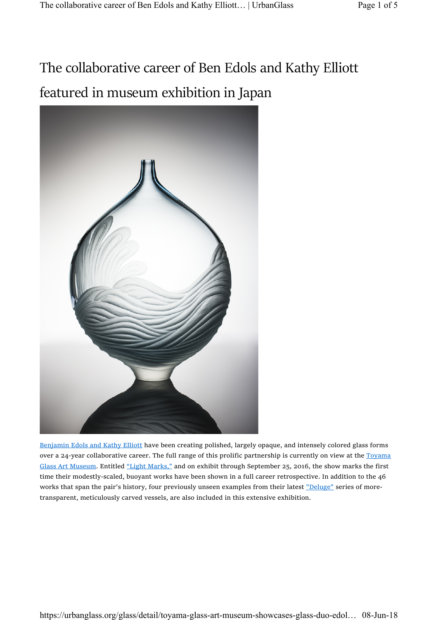## The collaborative career of Ben Edols and Kathy Elliott featured in museum exhibition in Japan



Benjamin Edols and Kathy Elliott have been creating polished, largely opaque, and intensely colored glass forms over a 24-year collaborative career. The full range of this prolific partnership is currently on view at the Toyama Glass Art Museum. Entitled "Light Marks," and on exhibit through September 25, 2016, the show marks the first time their modestly-scaled, buoyant works have been shown in a full career retrospective. In addition to the 46 works that span the pair's history, four previously unseen examples from their latest "Deluge" series of moretransparent, meticulously carved vessels, are also included in this extensive exhibition.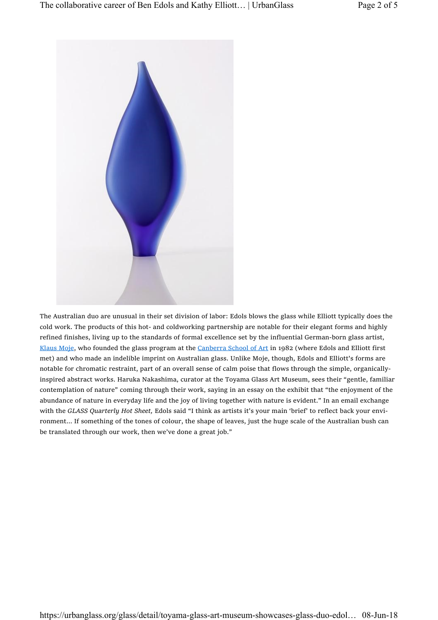

The Australian duo are unusual in their set division of labor: Edols blows the glass while Elliott typically does the cold work. The products of this hot- and coldworking partnership are notable for their elegant forms and highly refined finishes, living up to the standards of formal excellence set by the influential German-born glass artist, Klaus Moje, who founded the glass program at the Canberra School of Art in 1982 (where Edols and Elliott first met) and who made an indelible imprint on Australian glass. Unlike Moje, though, Edols and Elliott's forms are notable for chromatic restraint, part of an overall sense of calm poise that flows through the simple, organicallyinspired abstract works. Haruka Nakashima, curator at the Toyama Glass Art Museum, sees their "gentle, familiar contemplation of nature" coming through their work, saying in an essay on the exhibit that "the enjoyment of the abundance of nature in everyday life and the joy of living together with nature is evident." In an email exchange with the GLASS Quarterly Hot Sheet, Edols said "I think as artists it's your main 'brief' to reflect back your environment… If something of the tones of colour, the shape of leaves, just the huge scale of the Australian bush can be translated through our work, then we've done a great job."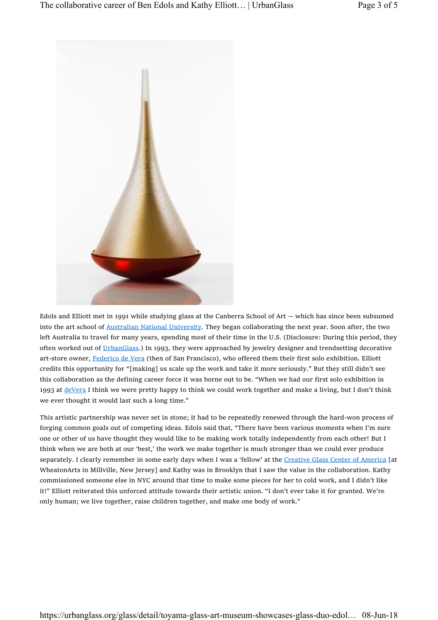

Edols and Elliott met in 1991 while studying glass at the Canberra School of Art — which has since been subsumed into the art school of Australian National University. They began collaborating the next year. Soon after, the two left Australia to travel for many years, spending most of their time in the U.S. (Disclosure: During this period, they often worked out of UrbanGlass.) In 1993, they were approached by jewelry designer and trendsetting decorative art-store owner, Federico de Vera (then of San Francisco), who offered them their first solo exhibition. Elliott credits this opportunity for "[making] us scale up the work and take it more seriously." But they still didn't see this collaboration as the defining career force it was borne out to be. "When we had our first solo exhibition in 1993 at deVera I think we were pretty happy to think we could work together and make a living, but I don't think we ever thought it would last such a long time."

This artistic partnership was never set in stone; it had to be repeatedly renewed through the hard-won process of forging common goals out of competing ideas. Edols said that, "There have been various moments when I'm sure one or other of us have thought they would like to be making work totally independently from each other! But I think when we are both at our 'best,' the work we make together is much stronger than we could ever produce separately. I clearly remember in some early days when I was a 'fellow' at the Creative Glass Center of America [at WheatonArts in Millville, New Jersey] and Kathy was in Brooklyn that I saw the value in the collaboration. Kathy commissioned someone else in NYC around that time to make some pieces for her to cold work, and I didn't like it!" Elliott reiterated this unforced attitude towards their artistic union. "I don't ever take it for granted. We're only human; we live together, raise children together, and make one body of work."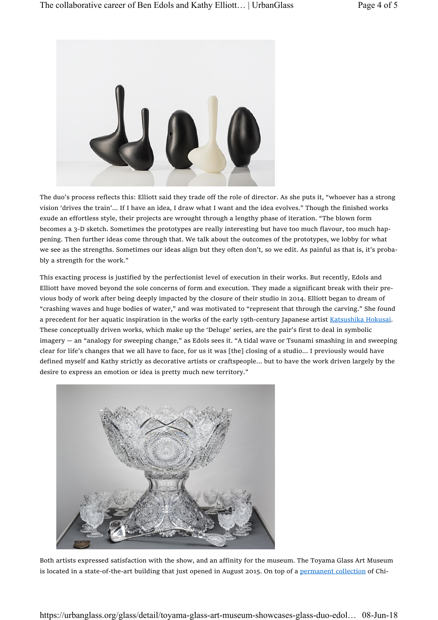

The duo's process reflects this: Elliott said they trade off the role of director. As she puts it, "whoever has a strong vision 'drives the train'… If I have an idea, I draw what I want and the idea evolves." Though the finished works exude an effortless style, their projects are wrought through a lengthy phase of iteration. "The blown form becomes a 3-D sketch. Sometimes the prototypes are really interesting but have too much flavour, too much happening. Then further ideas come through that. We talk about the outcomes of the prototypes, we lobby for what we see as the strengths. Sometimes our ideas align but they often don't, so we edit. As painful as that is, it's probably a strength for the work."

This exacting process is justified by the perfectionist level of execution in their works. But recently, Edols and Elliott have moved beyond the sole concerns of form and execution. They made a significant break with their previous body of work after being deeply impacted by the closure of their studio in 2014. Elliott began to dream of "crashing waves and huge bodies of water," and was motivated to "represent that through the carving." She found a precedent for her aquatic inspiration in the works of the early 19th-century Japanese artist Katsushika Hokusai. These conceptually driven works, which make up the 'Deluge' series, are the pair's first to deal in symbolic imagery — an "analogy for sweeping change," as Edols sees it. "A tidal wave or Tsunami smashing in and sweeping clear for life's changes that we all have to face, for us it was [the] closing of a studio… I previously would have defined myself and Kathy strictly as decorative artists or craftspeople… but to have the work driven largely by the desire to express an emotion or idea is pretty much new territory."



Both artists expressed satisfaction with the show, and an affinity for the museum. The Toyama Glass Art Museum is located in a state-of-the-art building that just opened in August 2015. On top of a permanent collection of Chi